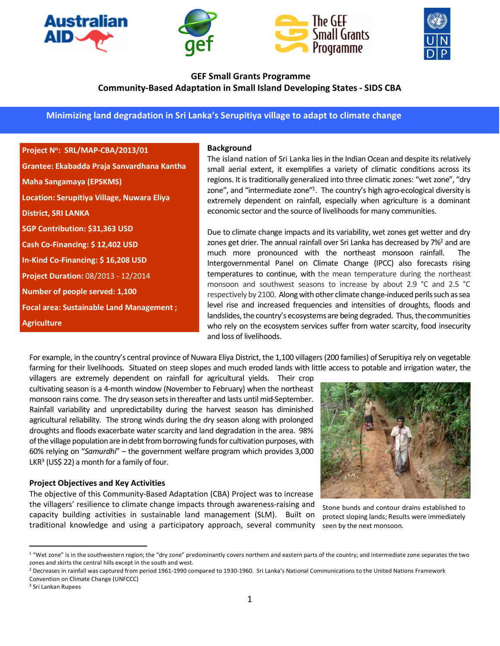







# **GEF Small Grants Programme Community-Based Adaptation in Small Island Developing States - SIDS CBA**

**Minimizing land degradation in Sri Lanka's Serupitiya village to adapt to climate change** 

## **Project N<sup>o</sup> : SRL/MAP-CBA/2013/01**

**Grantee: Ekabadda Praja Sanvardhana Kantha Maha Sangamaya (EPSKMS) Location: Serupitiya Village, Nuwara Eliya District, SRI LANKA SGP Contribution: \$31,363 USD Cash Co-Financing: \$ 12,402 USD In-Kind Co-Financing: \$ 16,208 USD Project Duration:** 08/2013 - 12/2014 **Number of people served: 1,100 Focal area: Sustainable Land Management ; Agriculture**

#### **Background**

The island nation of Sri Lanka lies in the Indian Ocean and despite its relatively small aerial extent, it exemplifies a variety of climatic conditions across its regions. It is traditionally generalized into three climatic zones: "wet zone", "dry zone", and "intermediate zone"<sup>1</sup>. The country's high agro-ecological diversity is extremely dependent on rainfall, especially when agriculture is a dominant economic sector and the source of livelihoods for many communities.

Due to climate change impacts and its variability, wet zones get wetter and dry zones get drier. The annual rainfall over Sri Lanka has decreased by 7%<sup>2</sup> and are much more pronounced with the northeast monsoon rainfall. The Intergovernmental Panel on Climate Change (IPCC) also forecasts rising temperatures to continue, with the mean temperature during the northeast monsoon and southwest seasons to increase by about 2.9 °C and 2.5 °C respectively by 2100. Along with other climate change-induced perils such as sea level rise and increased frequencies and intensities of droughts, floods and landslides, the country's ecosystems are being degraded. Thus, the communities who rely on the ecosystem services suffer from water scarcity, food insecurity and loss of livelihoods.

For example, in the country's central province of Nuwara Eliya District, the 1,100 villagers (200 families) of Serupitiya rely on vegetable farming for their livelihoods. Situated on steep slopes and much eroded lands with little access to potable and irrigation water, the

villagers are extremely dependent on rainfall for agricultural yields. Their crop cultivating season is a 4-month window (November to February) when the northeast monsoon rains come. The dry season sets in thereafter and lasts until mid-September. Rainfall variability and unpredictability during the harvest season has diminished agricultural reliability. The strong winds during the dry season along with prolonged droughts and floods exacerbate water scarcity and land degradation in the area. 98% of the village populationare in debt from borrowing funds for cultivation purposes, with 60% relying on "*Samurdhi*" – the government welfare program which provides 3,000 LKR<sup>3</sup> (US\$ 22) a month for a family of four.

#### **Project Objectives and Key Activities**

The objective of this Community-Based Adaptation (CBA) Project was to increase the villagers' resilience to climate change impacts through awareness-raising and capacity building activities in sustainable land management (SLM). Built on traditional knowledge and using a participatory approach, several community



Stone bunds and contour drains established to protect sloping lands; Results were immediately seen by the next monsoon.

<sup>3</sup> Sri Lankan Rupees

 $\overline{a}$ 

<sup>&</sup>lt;sup>1</sup> "Wet zone" is in the southwestern region; the "dry zone" predominantly covers northern and eastern parts of the country; and intermediate zone separates the two zones and skirts the central hills except in the south and west.

<sup>&</sup>lt;sup>2</sup> Decreases in rainfall was captured from period 1961-1990 compared to 1930-1960. Sri Lanka's National Communications to the United Nations Framework Convention on Climate Change (UNFCCC)